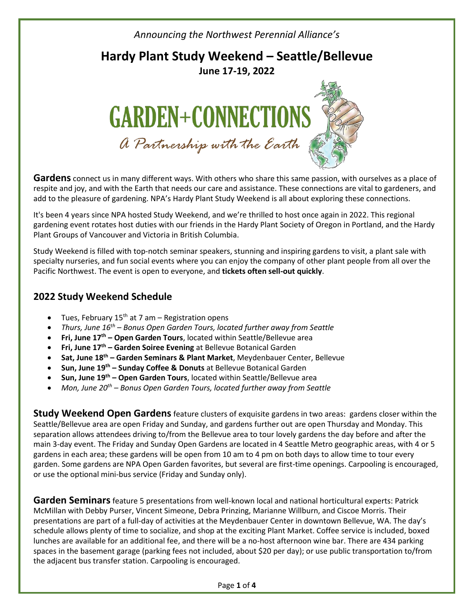*Announcing the Northwest Perennial Alliance's*

### **Hardy Plant Study Weekend – Seattle/Bellevue June 17-19, 2022**



**Gardens** connect us in many different ways. With others who share this same passion, with ourselves as a place of respite and joy, and with the Earth that needs our care and assistance. These connections are vital to gardeners, and add to the pleasure of gardening. NPA's Hardy Plant Study Weekend is all about exploring these connections.

It's been 4 years since NPA hosted Study Weekend, and we're thrilled to host once again in 2022. This regional gardening event rotates host duties with our friends in the Hardy Plant Society of Oregon in Portland, and the Hardy Plant Groups of Vancouver and Victoria in British Columbia.

Study Weekend is filled with top-notch seminar speakers, stunning and inspiring gardens to visit, a plant sale with specialty nurseries, and fun social events where you can enjoy the company of other plant people from all over the Pacific Northwest. The event is open to everyone, and **tickets often sell-out quickly**.

#### **2022 Study Weekend Schedule**

- Tues, February 15<sup>th</sup> at 7 am Registration opens
- *Thurs, June 16th – Bonus Open Garden Tours, located further away from Seattle*
- **Fri, June 17th – Open Garden Tours**, located within Seattle/Bellevue area
- **Fri, June 17th – Garden Soiree Evening** at Bellevue Botanical Garden
- **Sat, June 18th – Garden Seminars & Plant Market**, Meydenbauer Center, Bellevue
- **Sun, June 19th – Sunday Coffee & Donuts** at Bellevue Botanical Garden
- **Sun, June 19th – Open Garden Tours**, located within Seattle/Bellevue area
- *Mon, June 20th – Bonus Open Garden Tours, located further away from Seattle*

**Study Weekend Open Gardens**feature clusters of exquisite gardens in two areas: gardens closer within the Seattle/Bellevue area are open Friday and Sunday, and gardens further out are open Thursday and Monday. This separation allows attendees driving to/from the Bellevue area to tour lovely gardens the day before and after the main 3-day event. The Friday and Sunday Open Gardens are located in 4 Seattle Metro geographic areas, with 4 or 5 gardens in each area; these gardens will be open from 10 am to 4 pm on both days to allow time to tour every garden. Some gardens are NPA Open Garden favorites, but several are first-time openings. Carpooling is encouraged, or use the optional mini-bus service (Friday and Sunday only).

**Garden Seminars**feature 5 presentations from well-known local and national horticultural experts: Patrick McMillan with Debby Purser, Vincent Simeone, Debra Prinzing, Marianne Willburn, and Ciscoe Morris. Their presentations are part of a full-day of activities at the Meydenbauer Center in downtown Bellevue, WA. The day's schedule allows plenty of time to socialize, and shop at the exciting Plant Market. Coffee service is included, boxed lunches are available for an additional fee, and there will be a no-host afternoon wine bar. There are 434 parking spaces in the basement garage (parking fees not included, about \$20 per day); or use public transportation to/from the adjacent bus transfer station. Carpooling is encouraged.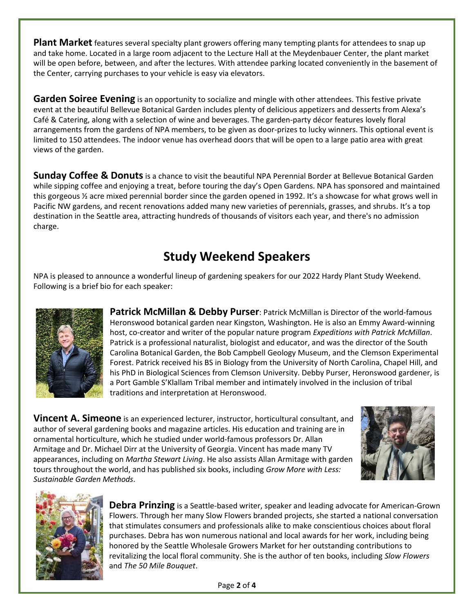**Plant Market** features several specialty plant growers offering many tempting plants for attendees to snap up and take home. Located in a large room adjacent to the Lecture Hall at the Meydenbauer Center, the plant market will be open before, between, and after the lectures. With attendee parking located conveniently in the basement of the Center, carrying purchases to your vehicle is easy via elevators.

**Garden Soiree Evening** is an opportunity to socialize and mingle with other attendees. This festive private event at the beautiful Bellevue Botanical Garden includes plenty of delicious appetizers and desserts from Alexa's Café & Catering, along with a selection of wine and beverages. The garden-party décor features lovely floral arrangements from the gardens of NPA members, to be given as door-prizes to lucky winners. This optional event is limited to 150 attendees. The indoor venue has overhead doors that will be open to a large patio area with great views of the garden.

**Sunday Coffee & Donuts** is a chance to visit the beautiful NPA Perennial Border at Bellevue Botanical Garden while sipping coffee and enjoying a treat, before touring the day's Open Gardens. NPA has sponsored and maintained this gorgeous ½ acre mixed perennial border since the garden opened in 1992. It's a showcase for what grows well in Pacific NW gardens, and recent renovations added many new varieties of perennials, grasses, and shrubs. It's a top destination in the Seattle area, attracting hundreds of thousands of visitors each year, and there's no admission charge.

## **Study Weekend Speakers**

NPA is pleased to announce a wonderful lineup of gardening speakers for our 2022 Hardy Plant Study Weekend. Following is a brief bio for each speaker:



**Patrick McMillan & Debby Purser**: Patrick McMillan is Director of the world-famous Heronswood botanical garden near Kingston, Washington. He is also an Emmy Award-winning host, co-creator and writer of the popular nature program *Expeditions with Patrick McMillan*. Patrick is a professional naturalist, biologist and educator, and was the director of the South Carolina Botanical Garden, the Bob Campbell Geology Museum, and the Clemson Experimental Forest. Patrick received his BS in Biology from the University of North Carolina, Chapel Hill, and his PhD in Biological Sciences from Clemson University. Debby Purser, Heronswood gardener, is a Port Gamble S'Klallam Tribal member and intimately involved in the inclusion of tribal traditions and interpretation at Heronswood.

**Vincent A. Simeone** is an experienced lecturer, instructor, horticultural consultant, and author of several gardening books and magazine articles. His education and training are in ornamental horticulture, which he studied under world-famous professors Dr. Allan Armitage and Dr. Michael Dirr at the University of Georgia. Vincent has made many TV appearances, including on *Martha Stewart Living*. He also assists Allan Armitage with garden tours throughout the world, and has published six books, including *Grow More with Less: Sustainable Garden Methods*.





**Debra Prinzing** is a Seattle-based writer, speaker and leading advocate for American-Grown Flowers. Through her many Slow Flowers branded projects, she started a national conversation that stimulates consumers and professionals alike to make conscientious choices about floral purchases. Debra has won numerous national and local awards for her work, including being honored by the Seattle Wholesale Growers Market for her outstanding contributions to revitalizing the local floral community. She is the author of ten books, including *Slow Flowers* and *The 50 Mile Bouquet*.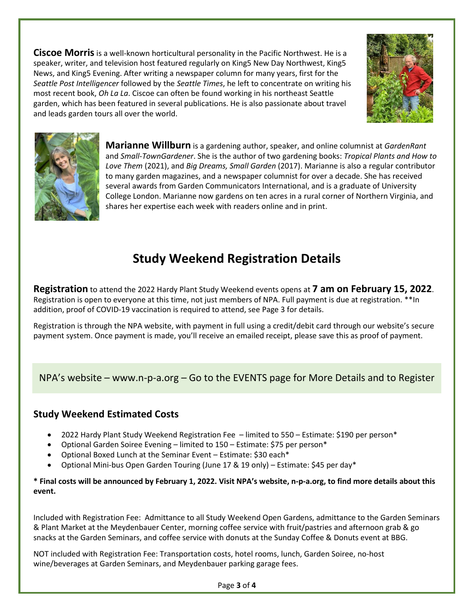**Ciscoe Morris**is a well-known horticultural personality in the Pacific Northwest. He is a speaker, writer, and television host featured regularly on King5 New Day Northwest, King5 News, and King5 Evening. After writing a newspaper column for many years, first for the *Seattle Post Intelligencer* followed by the *Seattle Times*, he left to concentrate on writing his most recent book, *Oh La La*. Ciscoe can often be found working in his northeast Seattle garden, which has been featured in several publications. He is also passionate about travel and leads garden tours all over the world.





**Marianne Willburn** is a gardening author, speaker, and online columnist at *GardenRant* and *Small-TownGardener*. She is the author of two gardening books: *Tropical Plants and How to Love Them* (2021), and *Big Dreams, Small Garden* (2017). Marianne is also a regular contributor to many garden magazines, and a newspaper columnist for over a decade. She has received several awards from Garden Communicators International, and is a graduate of University College London. Marianne now gardens on ten acres in a rural corner of Northern Virginia, and shares her expertise each week with readers online and in print.

# **Study Weekend Registration Details**

**Registration** to attend the 2022 Hardy Plant Study Weekend events opens at **7 am on February 15, 2022**. Registration is open to everyone at this time, not just members of NPA. Full payment is due at registration. \*\*In addition, proof of COVID-19 vaccination is required to attend, see Page 3 for details.

Registration is through the NPA website, with payment in full using a credit/debit card through our website's secure payment system. Once payment is made, you'll receive an emailed receipt, please save this as proof of payment.

### NPA's website – www.n-p-a.org – Go to the EVENTS page for More Details and to Register

### **Study Weekend Estimated Costs**

- 2022 Hardy Plant Study Weekend Registration Fee limited to 550 Estimate: \$190 per person\*
- Optional Garden Soiree Evening limited to 150 Estimate: \$75 per person\*
- Optional Boxed Lunch at the Seminar Event Estimate: \$30 each\*
- Optional Mini-bus Open Garden Touring (June 17 & 19 only) Estimate: \$45 per day\*

**\* Final costs will be announced by February 1, 2022. Visit NPA's website, n-p-a.org, to find more details about this event.**

Included with Registration Fee: Admittance to all Study Weekend Open Gardens, admittance to the Garden Seminars & Plant Market at the Meydenbauer Center, morning coffee service with fruit/pastries and afternoon grab & go snacks at the Garden Seminars, and coffee service with donuts at the Sunday Coffee & Donuts event at BBG.

NOT included with Registration Fee: Transportation costs, hotel rooms, lunch, Garden Soiree, no-host wine/beverages at Garden Seminars, and Meydenbauer parking garage fees.

Page **3** of **4**